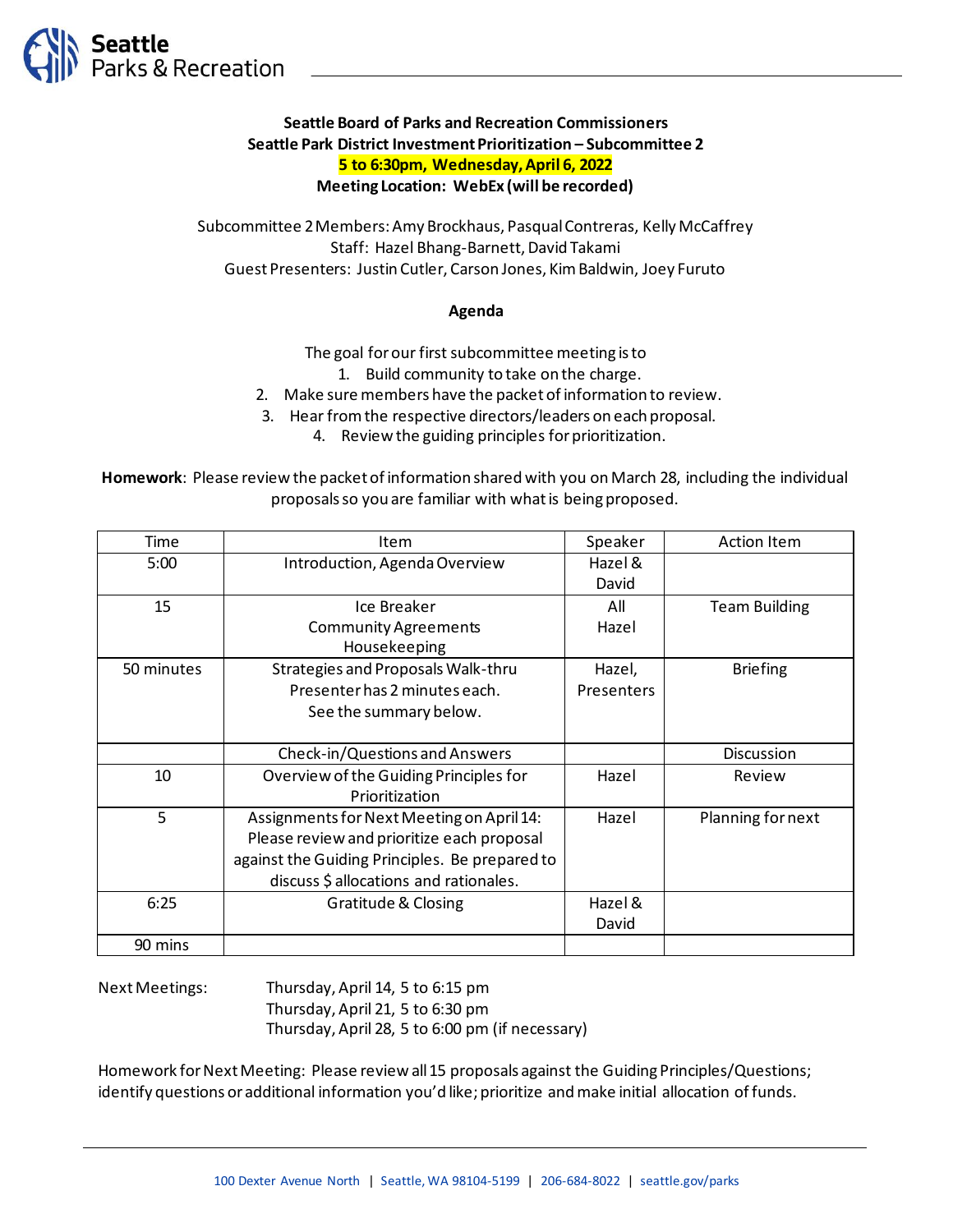

## **Seattle Board of Parks and Recreation Commissioners Seattle Park District Investment Prioritization – Subcommittee 2 5 to 6:30pm, Wednesday, April 6, 2022 Meeting Location: WebEx (will be recorded)**

Subcommittee 2 Members: Amy Brockhaus, Pasqual Contreras, Kelly McCaffrey Staff: Hazel Bhang-Barnett, David Takami Guest Presenters: Justin Cutler, Carson Jones, Kim Baldwin, Joey Furuto

## **Agenda**

The goal for our first subcommittee meeting is to

- 1. Build community to take on the charge.
- 2. Make sure members have the packet of information to review.
- 3. Hear from the respective directors/leaders on each proposal.
	- 4. Review the guiding principles for prioritization.

**Homework**: Please review the packet of information shared with you on March 28, including the individual proposals so you are familiar with what is being proposed.

| Time       | Item                                           | Speaker    | <b>Action Item</b>   |
|------------|------------------------------------------------|------------|----------------------|
| 5:00       | Introduction, Agenda Overview                  | Hazel &    |                      |
|            |                                                | David      |                      |
| 15         | Ice Breaker                                    | All        | <b>Team Building</b> |
|            | <b>Community Agreements</b>                    | Hazel      |                      |
|            | Housekeeping                                   |            |                      |
| 50 minutes | Strategies and Proposals Walk-thru             | Hazel,     | <b>Briefing</b>      |
|            | Presenter has 2 minutes each.                  | Presenters |                      |
|            | See the summary below.                         |            |                      |
|            |                                                |            |                      |
|            | Check-in/Questions and Answers                 |            | <b>Discussion</b>    |
| 10         | Overview of the Guiding Principles for         | Hazel      | Review               |
|            | Prioritization                                 |            |                      |
| 5          | Assignments for Next Meeting on April 14:      | Hazel      | Planning for next    |
|            | Please review and prioritize each proposal     |            |                      |
|            | against the Guiding Principles. Be prepared to |            |                      |
|            | discuss \$ allocations and rationales.         |            |                      |
| 6:25       | <b>Gratitude &amp; Closing</b>                 | Hazel &    |                      |
|            |                                                | David      |                      |
| 90 mins    |                                                |            |                      |

Next Meetings: Thursday, April 14, 5 to 6:15 pm Thursday, April 21, 5 to 6:30 pm Thursday, April 28, 5 to 6:00 pm (if necessary)

Homework for Next Meeting: Please review all 15 proposals against the Guiding Principles/Questions; identify questions or additional information you'd like; prioritize and make initial allocation of funds.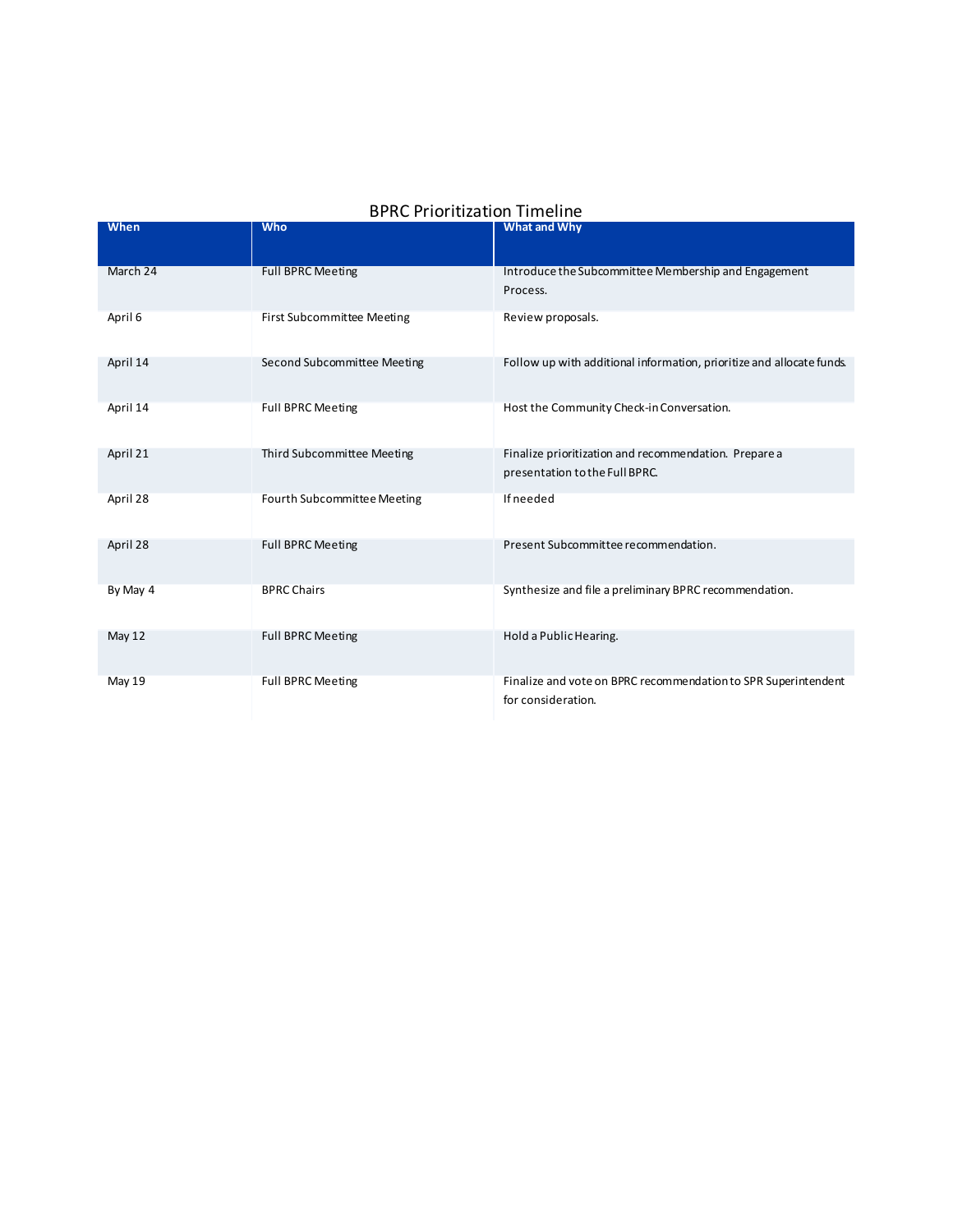| <b>BPRC Prioritization Timeline</b> |  |
|-------------------------------------|--|
|-------------------------------------|--|

| When     | <b>Who</b>                        | What and Why                                                          |
|----------|-----------------------------------|-----------------------------------------------------------------------|
|          |                                   |                                                                       |
| March 24 | <b>Full BPRC Meeting</b>          | Introduce the Subcommittee Membership and Engagement                  |
|          |                                   | Process.                                                              |
| April 6  | <b>First Subcommittee Meeting</b> | Review proposals.                                                     |
|          |                                   |                                                                       |
| April 14 | Second Subcommittee Meeting       | Follow up with additional information, prioritize and allocate funds. |
|          |                                   |                                                                       |
| April 14 | <b>Full BPRC Meeting</b>          | Host the Community Check-in Conversation.                             |
|          |                                   |                                                                       |
| April 21 | Third Subcommittee Meeting        | Finalize prioritization and recommendation. Prepare a                 |
|          |                                   | presentation to the Full BPRC.                                        |
| April 28 | Fourth Subcommittee Meeting       | <b>If needed</b>                                                      |
|          |                                   |                                                                       |
| April 28 | <b>Full BPRC Meeting</b>          | Present Subcommittee recommendation.                                  |
|          |                                   |                                                                       |
| By May 4 | <b>BPRC Chairs</b>                | Synthesize and file a preliminary BPRC recommendation.                |
|          |                                   |                                                                       |
| May 12   | <b>Full BPRC Meeting</b>          | Hold a Public Hearing.                                                |
|          |                                   |                                                                       |
| May 19   | <b>Full BPRC Meeting</b>          | Finalize and vote on BPRC recommendation to SPR Superintendent        |
|          |                                   | for consideration.                                                    |